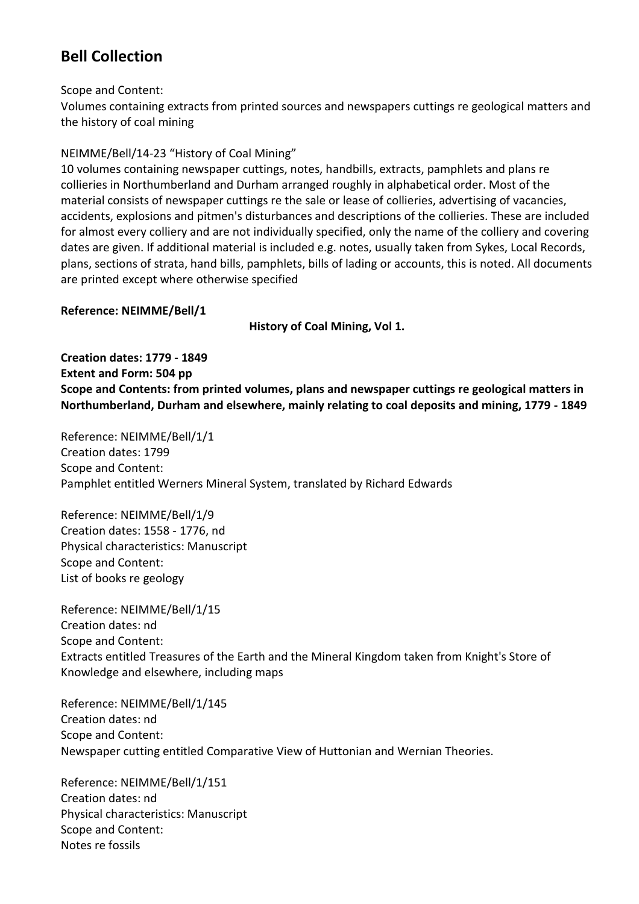# **Bell Collection**

### Scope and Content:

Volumes containing extracts from printed sources and newspapers cuttings re geological matters and the history of coal mining

## NEIMME/Bell/14-23 "History of Coal Mining"

10 volumes containing newspaper cuttings, notes, handbills, extracts, pamphlets and plans re collieries in Northumberland and Durham arranged roughly in alphabetical order. Most of the material consists of newspaper cuttings re the sale or lease of collieries, advertising of vacancies, accidents, explosions and pitmen's disturbances and descriptions of the collieries. These are included for almost every colliery and are not individually specified, only the name of the colliery and covering dates are given. If additional material is included e.g. notes, usually taken from Sykes, Local Records, plans, sections of strata, hand bills, pamphlets, bills of lading or accounts, this is noted. All documents are printed except where otherwise specified

### **Reference: NEIMME/Bell/1**

**History of Coal Mining, Vol 1.**

**Creation dates: 1779 - 1849 Extent and Form: 504 pp Scope and Contents: from printed volumes, plans and newspaper cuttings re geological matters in Northumberland, Durham and elsewhere, mainly relating to coal deposits and mining, 1779 - 1849**

Reference: NEIMME/Bell/1/1 Creation dates: 1799 Scope and Content: Pamphlet entitled Werners Mineral System, translated by Richard Edwards

Reference: NEIMME/Bell/1/9 Creation dates: 1558 - 1776, nd Physical characteristics: Manuscript Scope and Content: List of books re geology

Reference: NEIMME/Bell/1/15 Creation dates: nd Scope and Content: Extracts entitled Treasures of the Earth and the Mineral Kingdom taken from Knight's Store of Knowledge and elsewhere, including maps

Reference: NEIMME/Bell/1/145 Creation dates: nd Scope and Content: Newspaper cutting entitled Comparative View of Huttonian and Wernian Theories.

Reference: NEIMME/Bell/1/151 Creation dates: nd Physical characteristics: Manuscript Scope and Content: Notes re fossils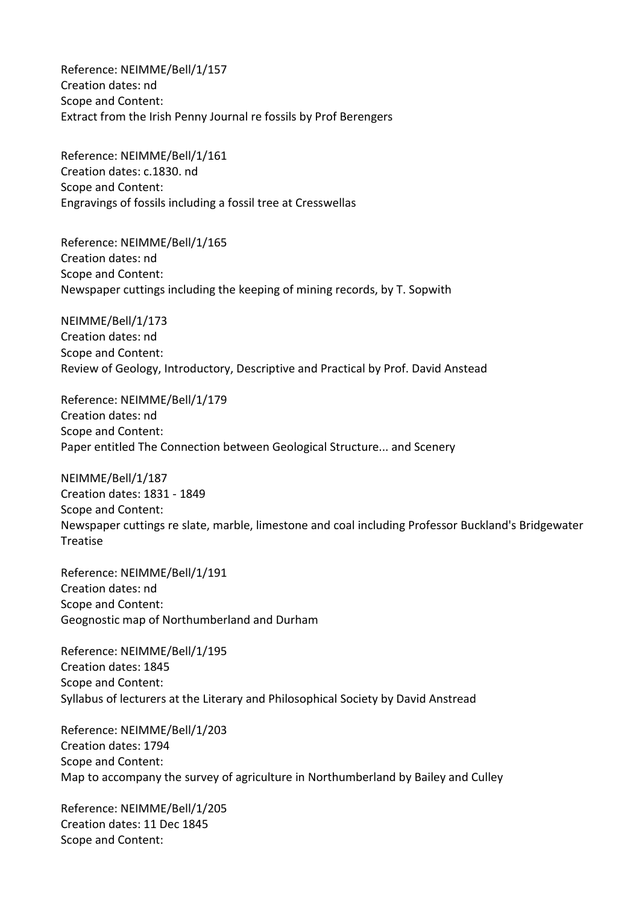Reference: NEIMME/Bell/1/157 Creation dates: nd Scope and Content: Extract from the Irish Penny Journal re fossils by Prof Berengers

Reference: NEIMME/Bell/1/161 Creation dates: c.1830. nd Scope and Content: Engravings of fossils including a fossil tree at Cresswellas

Reference: NEIMME/Bell/1/165 Creation dates: nd Scope and Content: Newspaper cuttings including the keeping of mining records, by T. Sopwith

NEIMME/Bell/1/173 Creation dates: nd Scope and Content: Review of Geology, Introductory, Descriptive and Practical by Prof. David Anstead

Reference: NEIMME/Bell/1/179 Creation dates: nd Scope and Content: Paper entitled The Connection between Geological Structure... and Scenery

NEIMME/Bell/1/187 Creation dates: 1831 - 1849 Scope and Content: Newspaper cuttings re slate, marble, limestone and coal including Professor Buckland's Bridgewater Treatise

Reference: NEIMME/Bell/1/191 Creation dates: nd Scope and Content: Geognostic map of Northumberland and Durham

Reference: NEIMME/Bell/1/195 Creation dates: 1845 Scope and Content: Syllabus of lecturers at the Literary and Philosophical Society by David Anstread

Reference: NEIMME/Bell/1/203 Creation dates: 1794 Scope and Content: Map to accompany the survey of agriculture in Northumberland by Bailey and Culley

Reference: NEIMME/Bell/1/205 Creation dates: 11 Dec 1845 Scope and Content: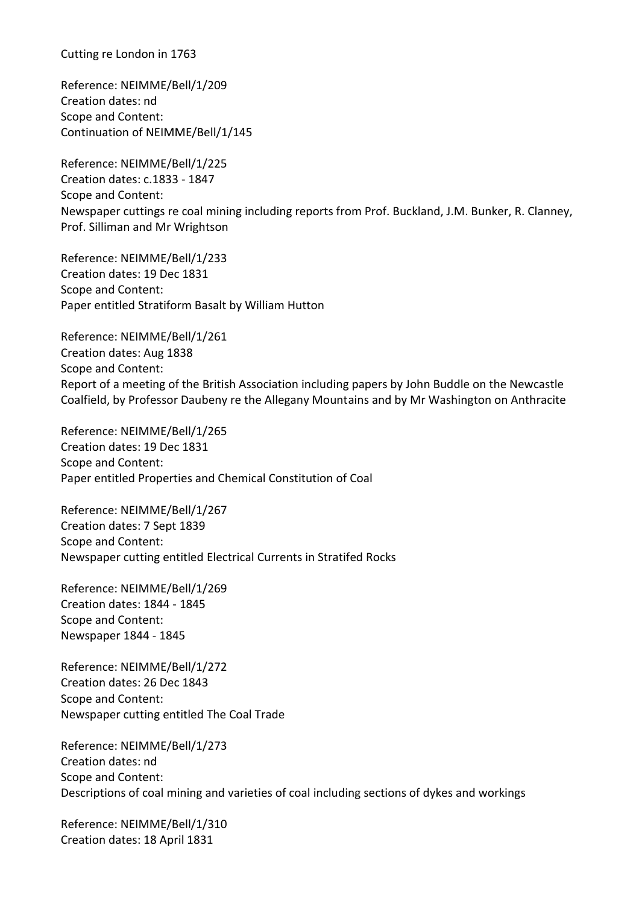Cutting re London in 1763

Reference: NEIMME/Bell/1/209 Creation dates: nd Scope and Content: Continuation of NEIMME/Bell/1/145

Reference: NEIMME/Bell/1/225 Creation dates: c.1833 - 1847 Scope and Content: Newspaper cuttings re coal mining including reports from Prof. Buckland, J.M. Bunker, R. Clanney, Prof. Silliman and Mr Wrightson

Reference: NEIMME/Bell/1/233 Creation dates: 19 Dec 1831 Scope and Content: Paper entitled Stratiform Basalt by William Hutton

Reference: NEIMME/Bell/1/261 Creation dates: Aug 1838 Scope and Content: Report of a meeting of the British Association including papers by John Buddle on the Newcastle Coalfield, by Professor Daubeny re the Allegany Mountains and by Mr Washington on Anthracite

Reference: NEIMME/Bell/1/265 Creation dates: 19 Dec 1831 Scope and Content: Paper entitled Properties and Chemical Constitution of Coal

Reference: NEIMME/Bell/1/267 Creation dates: 7 Sept 1839 Scope and Content: Newspaper cutting entitled Electrical Currents in Stratifed Rocks

Reference: NEIMME/Bell/1/269 Creation dates: 1844 - 1845 Scope and Content: Newspaper 1844 - 1845

Reference: NEIMME/Bell/1/272 Creation dates: 26 Dec 1843 Scope and Content: Newspaper cutting entitled The Coal Trade

Reference: NEIMME/Bell/1/273 Creation dates: nd Scope and Content: Descriptions of coal mining and varieties of coal including sections of dykes and workings

Reference: NEIMME/Bell/1/310 Creation dates: 18 April 1831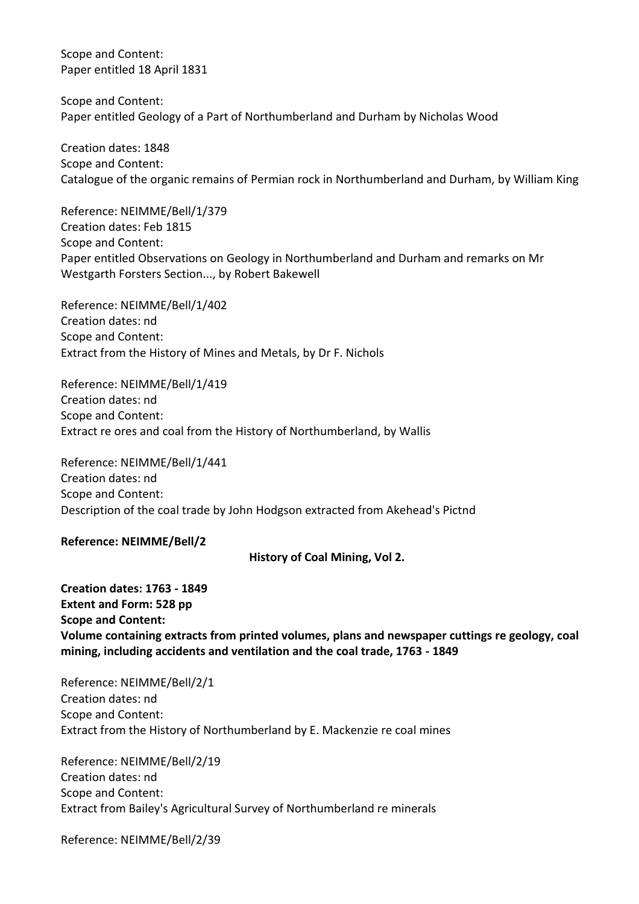Scope and Content: Paper entitled 18 April 1831

Scope and Content: Paper entitled Geology of a Part of Northumberland and Durham by Nicholas Wood

Creation dates: 1848 Scope and Content: Catalogue of the organic remains of Permian rock in Northumberland and Durham, by William King

Reference: NEIMME/Bell/1/379 Creation dates: Feb 1815 Scope and Content: Paper entitled Observations on Geology in Northumberland and Durham and remarks on Mr Westgarth Forsters Section..., by Robert Bakewell

Reference: NEIMME/Bell/1/402 Creation dates: nd Scope and Content: Extract from the History of Mines and Metals, by Dr F. Nichols

Reference: NEIMME/Bell/1/419 Creation dates: nd Scope and Content: Extract re ores and coal from the History of Northumberland, by Wallis

Reference: NEIMME/Bell/1/441 Creation dates: nd Scope and Content: Description of the coal trade by John Hodgson extracted from Akehead's Pictnd

**Reference: NEIMME/Bell/2**

**History of Coal Mining, Vol 2.**

**Creation dates: 1763 - 1849 Extent and Form: 528 pp Scope and Content: Volume containing extracts from printed volumes, plans and newspaper cuttings re geology, coal mining, including accidents and ventilation and the coal trade, 1763 - 1849**

Reference: NEIMME/Bell/2/1 Creation dates: nd Scope and Content: Extract from the History of Northumberland by E. Mackenzie re coal mines

Reference: NEIMME/Bell/2/19 Creation dates: nd Scope and Content: Extract from Bailey's Agricultural Survey of Northumberland re minerals

Reference: NEIMME/Bell/2/39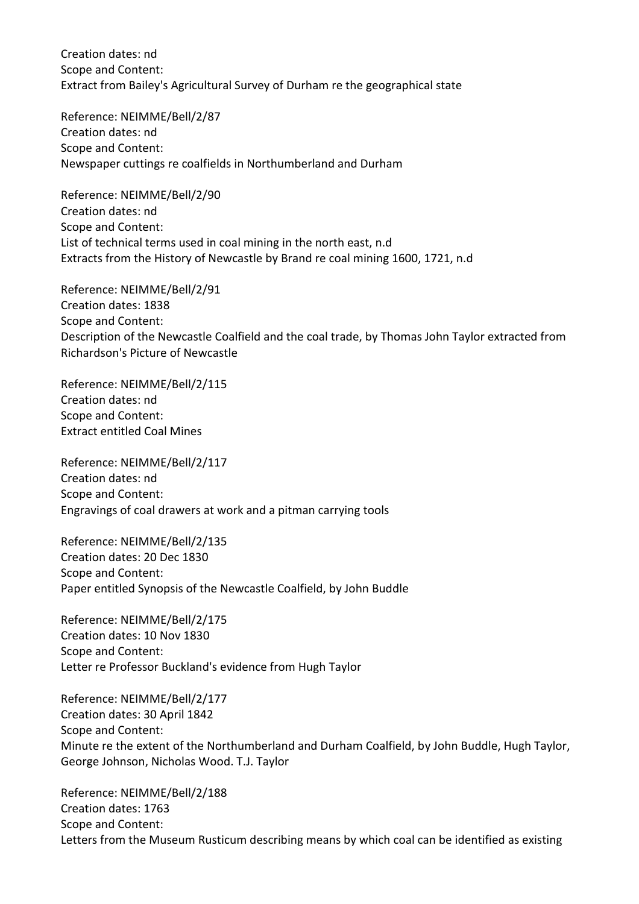Creation dates: nd Scope and Content: Extract from Bailey's Agricultural Survey of Durham re the geographical state

Reference: NEIMME/Bell/2/87 Creation dates: nd Scope and Content: Newspaper cuttings re coalfields in Northumberland and Durham

Reference: NEIMME/Bell/2/90 Creation dates: nd Scope and Content: List of technical terms used in coal mining in the north east, n.d Extracts from the History of Newcastle by Brand re coal mining 1600, 1721, n.d

Reference: NEIMME/Bell/2/91 Creation dates: 1838 Scope and Content: Description of the Newcastle Coalfield and the coal trade, by Thomas John Taylor extracted from Richardson's Picture of Newcastle

Reference: NEIMME/Bell/2/115 Creation dates: nd Scope and Content: Extract entitled Coal Mines

Reference: NEIMME/Bell/2/117 Creation dates: nd Scope and Content: Engravings of coal drawers at work and a pitman carrying tools

Reference: NEIMME/Bell/2/135 Creation dates: 20 Dec 1830 Scope and Content: Paper entitled Synopsis of the Newcastle Coalfield, by John Buddle

Reference: NEIMME/Bell/2/175 Creation dates: 10 Nov 1830 Scope and Content: Letter re Professor Buckland's evidence from Hugh Taylor

Reference: NEIMME/Bell/2/177 Creation dates: 30 April 1842 Scope and Content: Minute re the extent of the Northumberland and Durham Coalfield, by John Buddle, Hugh Taylor, George Johnson, Nicholas Wood. T.J. Taylor

Reference: NEIMME/Bell/2/188 Creation dates: 1763 Scope and Content: Letters from the Museum Rusticum describing means by which coal can be identified as existing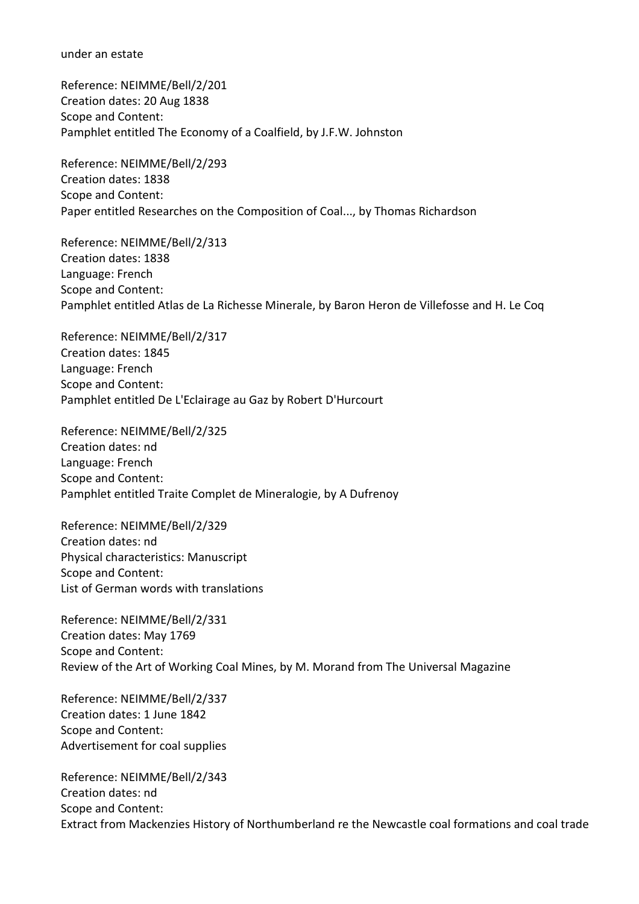under an estate

Reference: NEIMME/Bell/2/201 Creation dates: 20 Aug 1838 Scope and Content: Pamphlet entitled The Economy of a Coalfield, by J.F.W. Johnston

Reference: NEIMME/Bell/2/293 Creation dates: 1838 Scope and Content: Paper entitled Researches on the Composition of Coal..., by Thomas Richardson

Reference: NEIMME/Bell/2/313 Creation dates: 1838 Language: French Scope and Content: Pamphlet entitled Atlas de La Richesse Minerale, by Baron Heron de Villefosse and H. Le Coq

Reference: NEIMME/Bell/2/317 Creation dates: 1845 Language: French Scope and Content: Pamphlet entitled De L'Eclairage au Gaz by Robert D'Hurcourt

Reference: NEIMME/Bell/2/325 Creation dates: nd Language: French Scope and Content: Pamphlet entitled Traite Complet de Mineralogie, by A Dufrenoy

Reference: NEIMME/Bell/2/329 Creation dates: nd Physical characteristics: Manuscript Scope and Content: List of German words with translations

Reference: NEIMME/Bell/2/331 Creation dates: May 1769 Scope and Content: Review of the Art of Working Coal Mines, by M. Morand from The Universal Magazine

Reference: NEIMME/Bell/2/337 Creation dates: 1 June 1842 Scope and Content: Advertisement for coal supplies

Reference: NEIMME/Bell/2/343 Creation dates: nd Scope and Content: Extract from Mackenzies History of Northumberland re the Newcastle coal formations and coal trade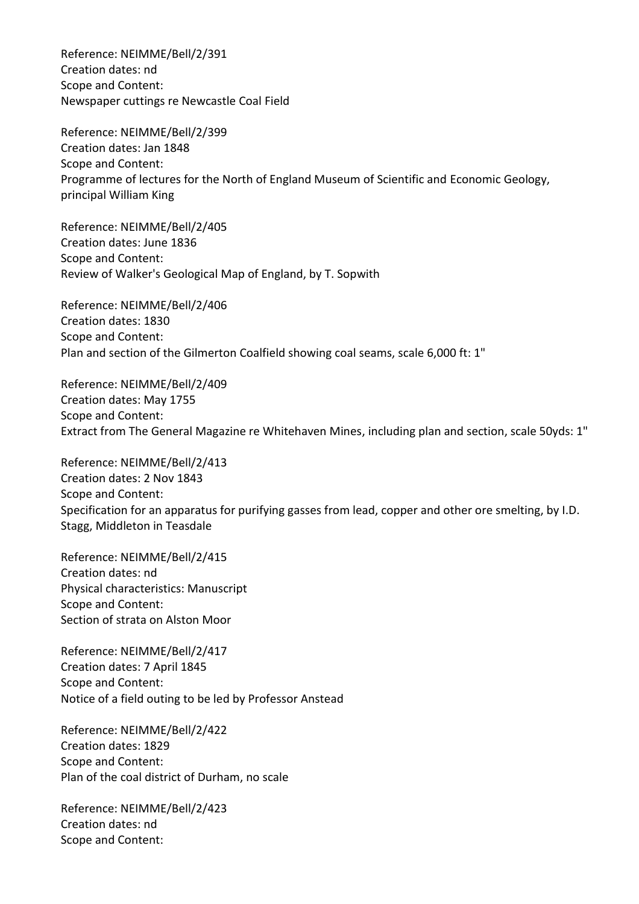Reference: NEIMME/Bell/2/391 Creation dates: nd Scope and Content: Newspaper cuttings re Newcastle Coal Field

Reference: NEIMME/Bell/2/399 Creation dates: Jan 1848 Scope and Content: Programme of lectures for the North of England Museum of Scientific and Economic Geology, principal William King

Reference: NEIMME/Bell/2/405 Creation dates: June 1836 Scope and Content: Review of Walker's Geological Map of England, by T. Sopwith

Reference: NEIMME/Bell/2/406 Creation dates: 1830 Scope and Content: Plan and section of the Gilmerton Coalfield showing coal seams, scale 6,000 ft: 1"

Reference: NEIMME/Bell/2/409 Creation dates: May 1755 Scope and Content: Extract from The General Magazine re Whitehaven Mines, including plan and section, scale 50yds: 1"

Reference: NEIMME/Bell/2/413 Creation dates: 2 Nov 1843 Scope and Content: Specification for an apparatus for purifying gasses from lead, copper and other ore smelting, by I.D. Stagg, Middleton in Teasdale

Reference: NEIMME/Bell/2/415 Creation dates: nd Physical characteristics: Manuscript Scope and Content: Section of strata on Alston Moor

Reference: NEIMME/Bell/2/417 Creation dates: 7 April 1845 Scope and Content: Notice of a field outing to be led by Professor Anstead

Reference: NEIMME/Bell/2/422 Creation dates: 1829 Scope and Content: Plan of the coal district of Durham, no scale

Reference: NEIMME/Bell/2/423 Creation dates: nd Scope and Content: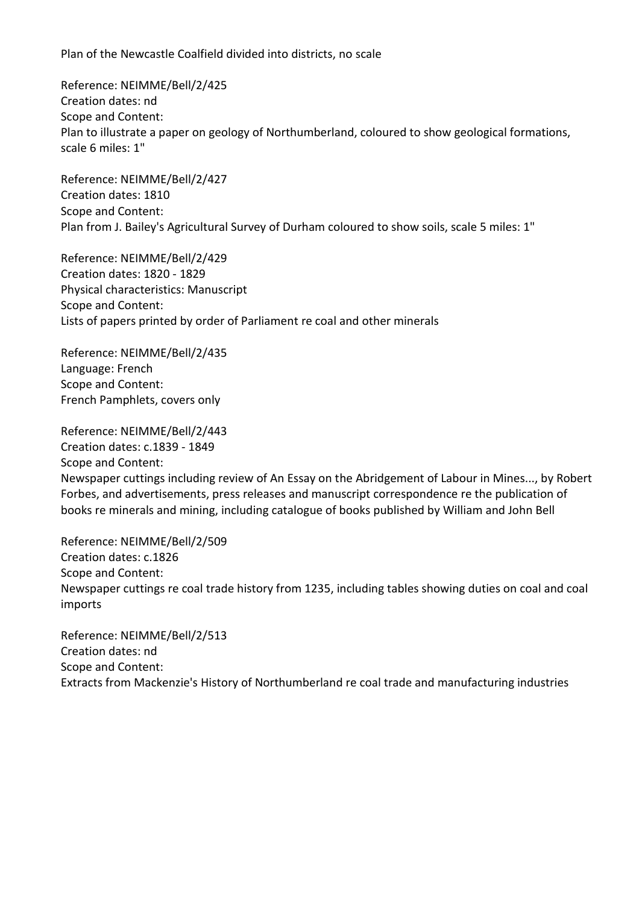Plan of the Newcastle Coalfield divided into districts, no scale

Reference: NEIMME/Bell/2/425 Creation dates: nd Scope and Content: Plan to illustrate a paper on geology of Northumberland, coloured to show geological formations, scale 6 miles: 1"

Reference: NEIMME/Bell/2/427 Creation dates: 1810 Scope and Content: Plan from J. Bailey's Agricultural Survey of Durham coloured to show soils, scale 5 miles: 1"

Reference: NEIMME/Bell/2/429 Creation dates: 1820 - 1829 Physical characteristics: Manuscript Scope and Content: Lists of papers printed by order of Parliament re coal and other minerals

Reference: NEIMME/Bell/2/435 Language: French Scope and Content: French Pamphlets, covers only

Reference: NEIMME/Bell/2/443 Creation dates: c.1839 - 1849 Scope and Content: Newspaper cuttings including review of An Essay on the Abridgement of Labour in Mines..., by Robert Forbes, and advertisements, press releases and manuscript correspondence re the publication of books re minerals and mining, including catalogue of books published by William and John Bell

Reference: NEIMME/Bell/2/509 Creation dates: c.1826 Scope and Content: Newspaper cuttings re coal trade history from 1235, including tables showing duties on coal and coal imports

Reference: NEIMME/Bell/2/513 Creation dates: nd Scope and Content: Extracts from Mackenzie's History of Northumberland re coal trade and manufacturing industries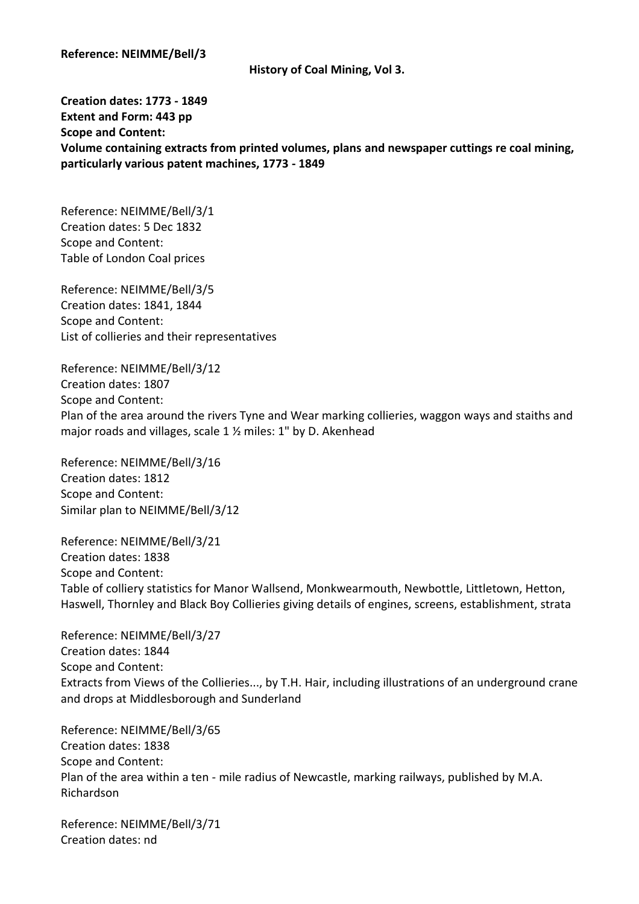**Reference: NEIMME/Bell/3**

**History of Coal Mining, Vol 3.**

**Creation dates: 1773 - 1849 Extent and Form: 443 pp Scope and Content: Volume containing extracts from printed volumes, plans and newspaper cuttings re coal mining, particularly various patent machines, 1773 - 1849**

Reference: NEIMME/Bell/3/1 Creation dates: 5 Dec 1832 Scope and Content: Table of London Coal prices

Reference: NEIMME/Bell/3/5 Creation dates: 1841, 1844 Scope and Content: List of collieries and their representatives

Reference: NEIMME/Bell/3/12 Creation dates: 1807 Scope and Content: Plan of the area around the rivers Tyne and Wear marking collieries, waggon ways and staiths and major roads and villages, scale 1 ½ miles: 1" by D. Akenhead

Reference: NEIMME/Bell/3/16 Creation dates: 1812 Scope and Content: Similar plan to NEIMME/Bell/3/12

Reference: NEIMME/Bell/3/21 Creation dates: 1838 Scope and Content: Table of colliery statistics for Manor Wallsend, Monkwearmouth, Newbottle, Littletown, Hetton, Haswell, Thornley and Black Boy Collieries giving details of engines, screens, establishment, strata

Reference: NEIMME/Bell/3/27 Creation dates: 1844 Scope and Content: Extracts from Views of the Collieries..., by T.H. Hair, including illustrations of an underground crane and drops at Middlesborough and Sunderland

Reference: NEIMME/Bell/3/65 Creation dates: 1838 Scope and Content: Plan of the area within a ten - mile radius of Newcastle, marking railways, published by M.A. Richardson

Reference: NEIMME/Bell/3/71 Creation dates: nd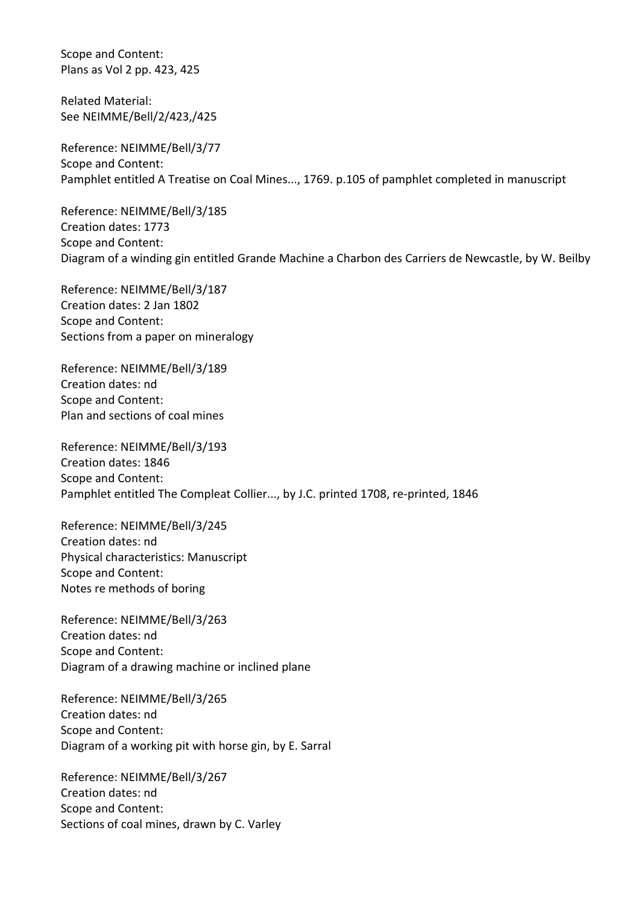Scope and Content: Plans as Vol 2 pp. 423, 425

Related Material: See NEIMME/Bell/2/423,/425

Reference: NEIMME/Bell/3/77 Scope and Content: Pamphlet entitled A Treatise on Coal Mines..., 1769. p.105 of pamphlet completed in manuscript

Reference: NEIMME/Bell/3/185 Creation dates: 1773 Scope and Content: Diagram of a winding gin entitled Grande Machine a Charbon des Carriers de Newcastle, by W. Beilby

Reference: NEIMME/Bell/3/187 Creation dates: 2 Jan 1802 Scope and Content: Sections from a paper on mineralogy

Reference: NEIMME/Bell/3/189 Creation dates: nd Scope and Content: Plan and sections of coal mines

Reference: NEIMME/Bell/3/193 Creation dates: 1846 Scope and Content: Pamphlet entitled The Compleat Collier..., by J.C. printed 1708, re-printed, 1846

Reference: NEIMME/Bell/3/245 Creation dates: nd Physical characteristics: Manuscript Scope and Content: Notes re methods of boring

Reference: NEIMME/Bell/3/263 Creation dates: nd Scope and Content: Diagram of a drawing machine or inclined plane

Reference: NEIMME/Bell/3/265 Creation dates: nd Scope and Content: Diagram of a working pit with horse gin, by E. Sarral

Reference: NEIMME/Bell/3/267 Creation dates: nd Scope and Content: Sections of coal mines, drawn by C. Varley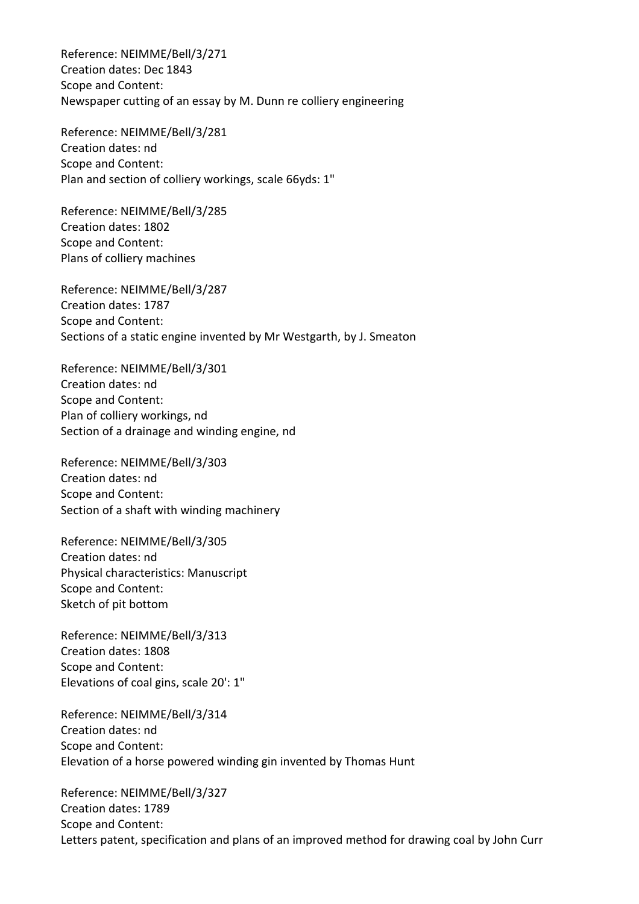Reference: NEIMME/Bell/3/271 Creation dates: Dec 1843 Scope and Content: Newspaper cutting of an essay by M. Dunn re colliery engineering

Reference: NEIMME/Bell/3/281 Creation dates: nd Scope and Content: Plan and section of colliery workings, scale 66yds: 1"

Reference: NEIMME/Bell/3/285 Creation dates: 1802 Scope and Content: Plans of colliery machines

Reference: NEIMME/Bell/3/287 Creation dates: 1787 Scope and Content: Sections of a static engine invented by Mr Westgarth, by J. Smeaton

Reference: NEIMME/Bell/3/301 Creation dates: nd Scope and Content: Plan of colliery workings, nd Section of a drainage and winding engine, nd

Reference: NEIMME/Bell/3/303 Creation dates: nd Scope and Content: Section of a shaft with winding machinery

Reference: NEIMME/Bell/3/305 Creation dates: nd Physical characteristics: Manuscript Scope and Content: Sketch of pit bottom

Reference: NEIMME/Bell/3/313 Creation dates: 1808 Scope and Content: Elevations of coal gins, scale 20': 1"

Reference: NEIMME/Bell/3/314 Creation dates: nd Scope and Content: Elevation of a horse powered winding gin invented by Thomas Hunt

Reference: NEIMME/Bell/3/327 Creation dates: 1789 Scope and Content: Letters patent, specification and plans of an improved method for drawing coal by John Curr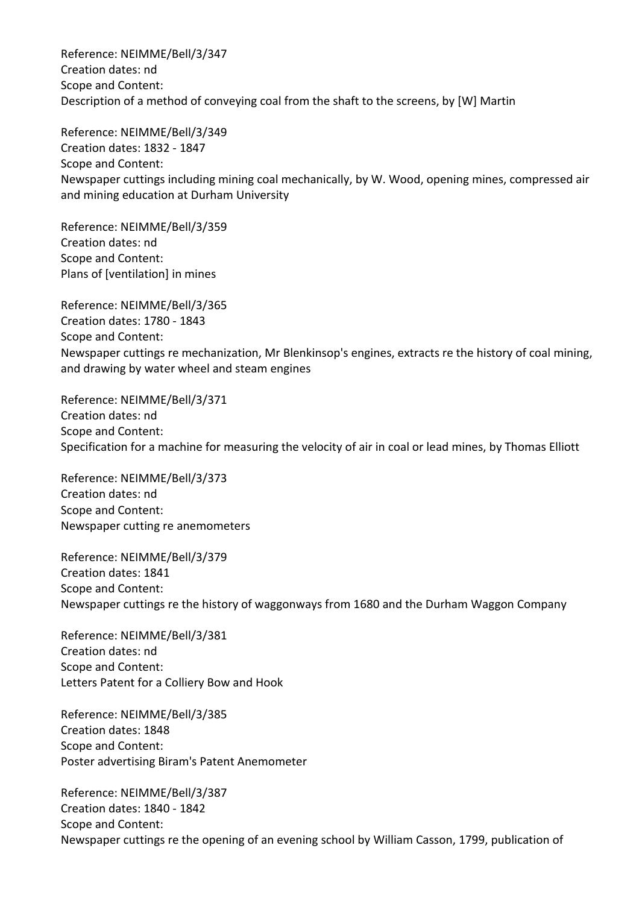Reference: NEIMME/Bell/3/347 Creation dates: nd Scope and Content: Description of a method of conveying coal from the shaft to the screens, by [W] Martin

Reference: NEIMME/Bell/3/349 Creation dates: 1832 - 1847 Scope and Content: Newspaper cuttings including mining coal mechanically, by W. Wood, opening mines, compressed air and mining education at Durham University

Reference: NEIMME/Bell/3/359 Creation dates: nd Scope and Content: Plans of [ventilation] in mines

Reference: NEIMME/Bell/3/365 Creation dates: 1780 - 1843 Scope and Content: Newspaper cuttings re mechanization, Mr Blenkinsop's engines, extracts re the history of coal mining, and drawing by water wheel and steam engines

Reference: NEIMME/Bell/3/371 Creation dates: nd Scope and Content: Specification for a machine for measuring the velocity of air in coal or lead mines, by Thomas Elliott

Reference: NEIMME/Bell/3/373 Creation dates: nd Scope and Content: Newspaper cutting re anemometers

Reference: NEIMME/Bell/3/379 Creation dates: 1841 Scope and Content: Newspaper cuttings re the history of waggonways from 1680 and the Durham Waggon Company

Reference: NEIMME/Bell/3/381 Creation dates: nd Scope and Content: Letters Patent for a Colliery Bow and Hook

Reference: NEIMME/Bell/3/385 Creation dates: 1848 Scope and Content: Poster advertising Biram's Patent Anemometer

Reference: NEIMME/Bell/3/387 Creation dates: 1840 - 1842 Scope and Content: Newspaper cuttings re the opening of an evening school by William Casson, 1799, publication of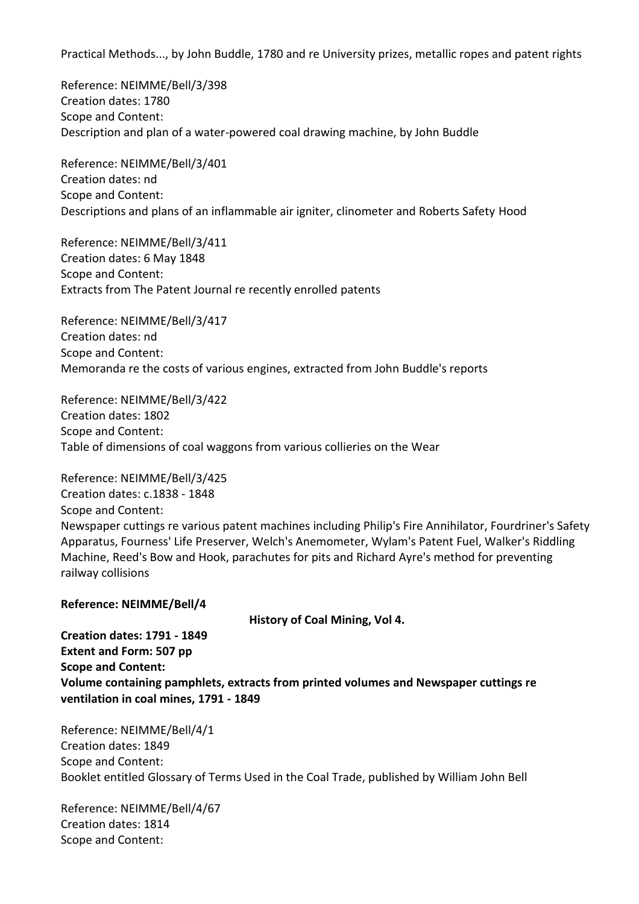Practical Methods..., by John Buddle, 1780 and re University prizes, metallic ropes and patent rights

Reference: NEIMME/Bell/3/398 Creation dates: 1780 Scope and Content: Description and plan of a water-powered coal drawing machine, by John Buddle

Reference: NEIMME/Bell/3/401 Creation dates: nd Scope and Content: Descriptions and plans of an inflammable air igniter, clinometer and Roberts Safety Hood

Reference: NEIMME/Bell/3/411 Creation dates: 6 May 1848 Scope and Content: Extracts from The Patent Journal re recently enrolled patents

Reference: NEIMME/Bell/3/417 Creation dates: nd Scope and Content: Memoranda re the costs of various engines, extracted from John Buddle's reports

Reference: NEIMME/Bell/3/422 Creation dates: 1802 Scope and Content: Table of dimensions of coal waggons from various collieries on the Wear

Reference: NEIMME/Bell/3/425 Creation dates: c.1838 - 1848 Scope and Content: Newspaper cuttings re various patent machines including Philip's Fire Annihilator, Fourdriner's Safety Apparatus, Fourness' Life Preserver, Welch's Anemometer, Wylam's Patent Fuel, Walker's Riddling Machine, Reed's Bow and Hook, parachutes for pits and Richard Ayre's method for preventing railway collisions

#### **Reference: NEIMME/Bell/4**

**History of Coal Mining, Vol 4.**

**Creation dates: 1791 - 1849 Extent and Form: 507 pp Scope and Content: Volume containing pamphlets, extracts from printed volumes and Newspaper cuttings re ventilation in coal mines, 1791 - 1849**

Reference: NEIMME/Bell/4/1 Creation dates: 1849 Scope and Content: Booklet entitled Glossary of Terms Used in the Coal Trade, published by William John Bell

Reference: NEIMME/Bell/4/67 Creation dates: 1814 Scope and Content: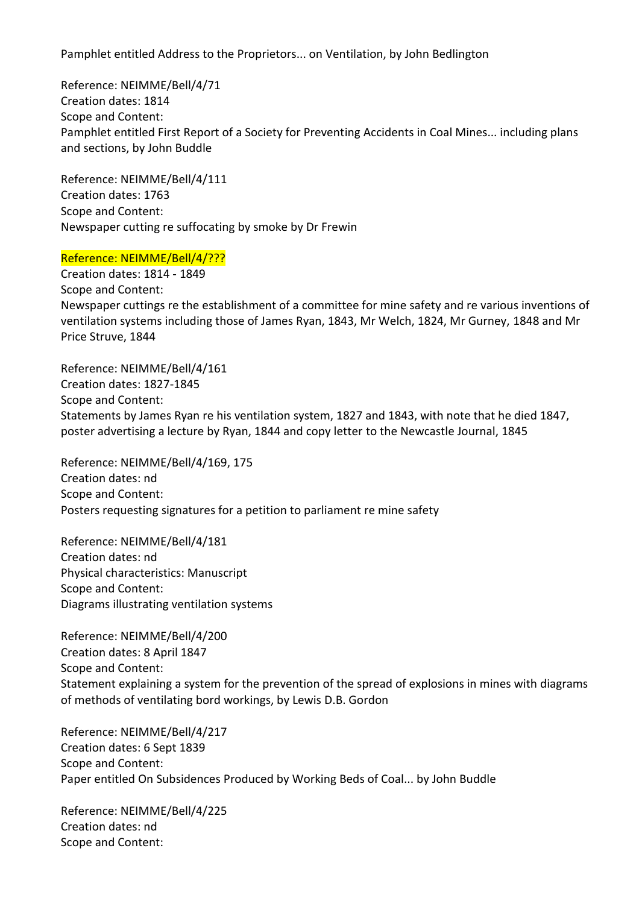Pamphlet entitled Address to the Proprietors... on Ventilation, by John Bedlington

Reference: NEIMME/Bell/4/71 Creation dates: 1814 Scope and Content: Pamphlet entitled First Report of a Society for Preventing Accidents in Coal Mines... including plans and sections, by John Buddle

Reference: NEIMME/Bell/4/111 Creation dates: 1763 Scope and Content: Newspaper cutting re suffocating by smoke by Dr Frewin

#### Reference: NEIMME/Bell/4/???

Creation dates: 1814 - 1849 Scope and Content: Newspaper cuttings re the establishment of a committee for mine safety and re various inventions of ventilation systems including those of James Ryan, 1843, Mr Welch, 1824, Mr Gurney, 1848 and Mr Price Struve, 1844

Reference: NEIMME/Bell/4/161 Creation dates: 1827-1845 Scope and Content: Statements by James Ryan re his ventilation system, 1827 and 1843, with note that he died 1847, poster advertising a lecture by Ryan, 1844 and copy letter to the Newcastle Journal, 1845

Reference: NEIMME/Bell/4/169, 175 Creation dates: nd Scope and Content: Posters requesting signatures for a petition to parliament re mine safety

Reference: NEIMME/Bell/4/181 Creation dates: nd Physical characteristics: Manuscript Scope and Content: Diagrams illustrating ventilation systems

Reference: NEIMME/Bell/4/200 Creation dates: 8 April 1847 Scope and Content: Statement explaining a system for the prevention of the spread of explosions in mines with diagrams of methods of ventilating bord workings, by Lewis D.B. Gordon

Reference: NEIMME/Bell/4/217 Creation dates: 6 Sept 1839 Scope and Content: Paper entitled On Subsidences Produced by Working Beds of Coal... by John Buddle

Reference: NEIMME/Bell/4/225 Creation dates: nd Scope and Content: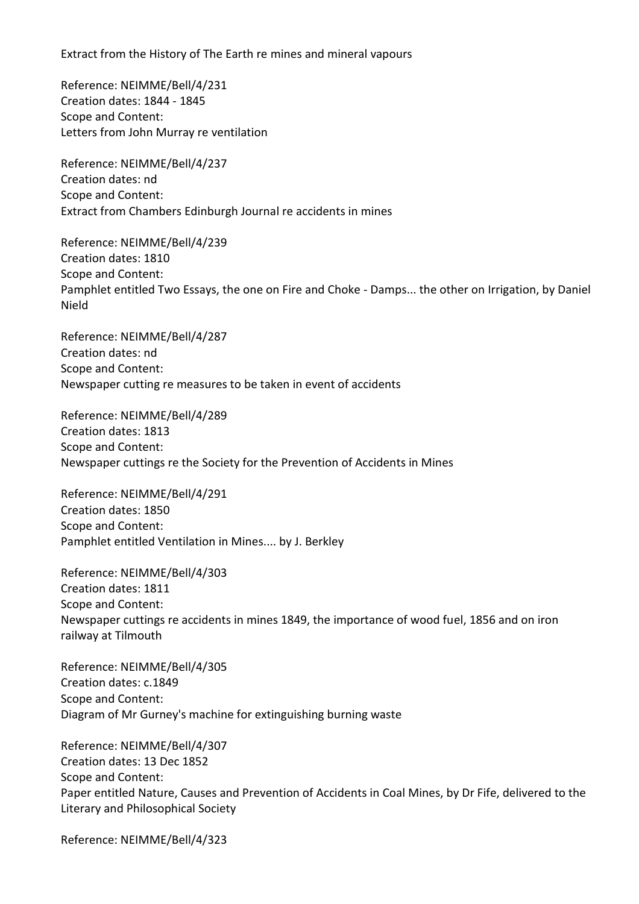Extract from the History of The Earth re mines and mineral vapours

Reference: NEIMME/Bell/4/231 Creation dates: 1844 - 1845 Scope and Content: Letters from John Murray re ventilation

Reference: NEIMME/Bell/4/237 Creation dates: nd Scope and Content: Extract from Chambers Edinburgh Journal re accidents in mines

Reference: NEIMME/Bell/4/239 Creation dates: 1810 Scope and Content: Pamphlet entitled Two Essays, the one on Fire and Choke - Damps... the other on Irrigation, by Daniel Nield

Reference: NEIMME/Bell/4/287 Creation dates: nd Scope and Content: Newspaper cutting re measures to be taken in event of accidents

Reference: NEIMME/Bell/4/289 Creation dates: 1813 Scope and Content: Newspaper cuttings re the Society for the Prevention of Accidents in Mines

Reference: NEIMME/Bell/4/291 Creation dates: 1850 Scope and Content: Pamphlet entitled Ventilation in Mines.... by J. Berkley

Reference: NEIMME/Bell/4/303 Creation dates: 1811 Scope and Content: Newspaper cuttings re accidents in mines 1849, the importance of wood fuel, 1856 and on iron railway at Tilmouth

Reference: NEIMME/Bell/4/305 Creation dates: c.1849 Scope and Content: Diagram of Mr Gurney's machine for extinguishing burning waste

Reference: NEIMME/Bell/4/307 Creation dates: 13 Dec 1852 Scope and Content: Paper entitled Nature, Causes and Prevention of Accidents in Coal Mines, by Dr Fife, delivered to the Literary and Philosophical Society

Reference: NEIMME/Bell/4/323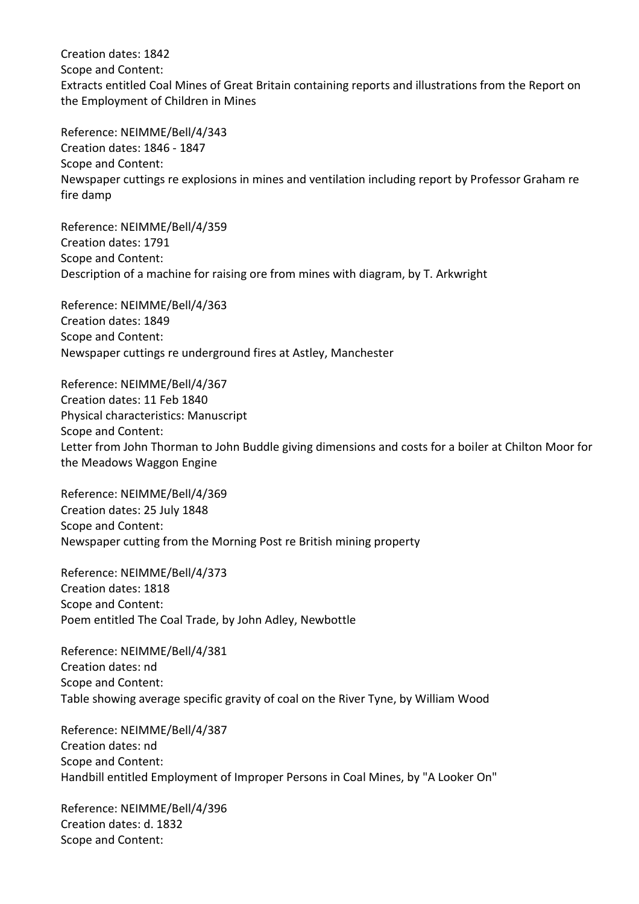Creation dates: 1842 Scope and Content: Extracts entitled Coal Mines of Great Britain containing reports and illustrations from the Report on the Employment of Children in Mines

Reference: NEIMME/Bell/4/343 Creation dates: 1846 - 1847 Scope and Content: Newspaper cuttings re explosions in mines and ventilation including report by Professor Graham re fire damp

Reference: NEIMME/Bell/4/359 Creation dates: 1791 Scope and Content: Description of a machine for raising ore from mines with diagram, by T. Arkwright

Reference: NEIMME/Bell/4/363 Creation dates: 1849 Scope and Content: Newspaper cuttings re underground fires at Astley, Manchester

Reference: NEIMME/Bell/4/367 Creation dates: 11 Feb 1840 Physical characteristics: Manuscript Scope and Content: Letter from John Thorman to John Buddle giving dimensions and costs for a boiler at Chilton Moor for the Meadows Waggon Engine

Reference: NEIMME/Bell/4/369 Creation dates: 25 July 1848 Scope and Content: Newspaper cutting from the Morning Post re British mining property

Reference: NEIMME/Bell/4/373 Creation dates: 1818 Scope and Content: Poem entitled The Coal Trade, by John Adley, Newbottle

Reference: NEIMME/Bell/4/381 Creation dates: nd Scope and Content: Table showing average specific gravity of coal on the River Tyne, by William Wood

Reference: NEIMME/Bell/4/387 Creation dates: nd Scope and Content: Handbill entitled Employment of Improper Persons in Coal Mines, by "A Looker On"

Reference: NEIMME/Bell/4/396 Creation dates: d. 1832 Scope and Content: